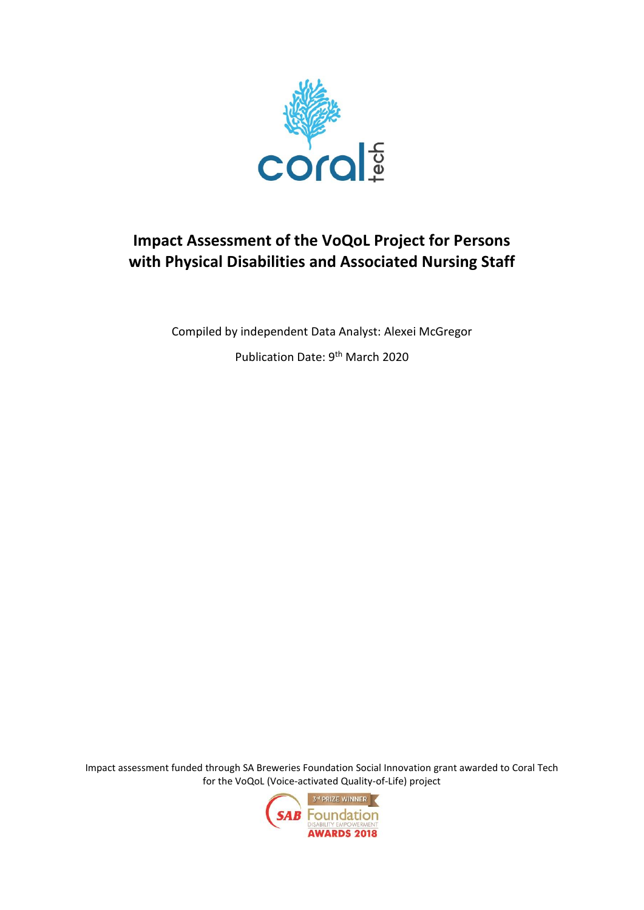

# **Impact Assessment of the VoQoL Project for Persons with Physical Disabilities and Associated Nursing Staff**

Compiled by independent Data Analyst: Alexei McGregor

Publication Date: 9th March 2020

Impact assessment funded through SA Breweries Foundation Social Innovation grant awarded to Coral Tech for the VoQoL (Voice-activated Quality-of-Life) project

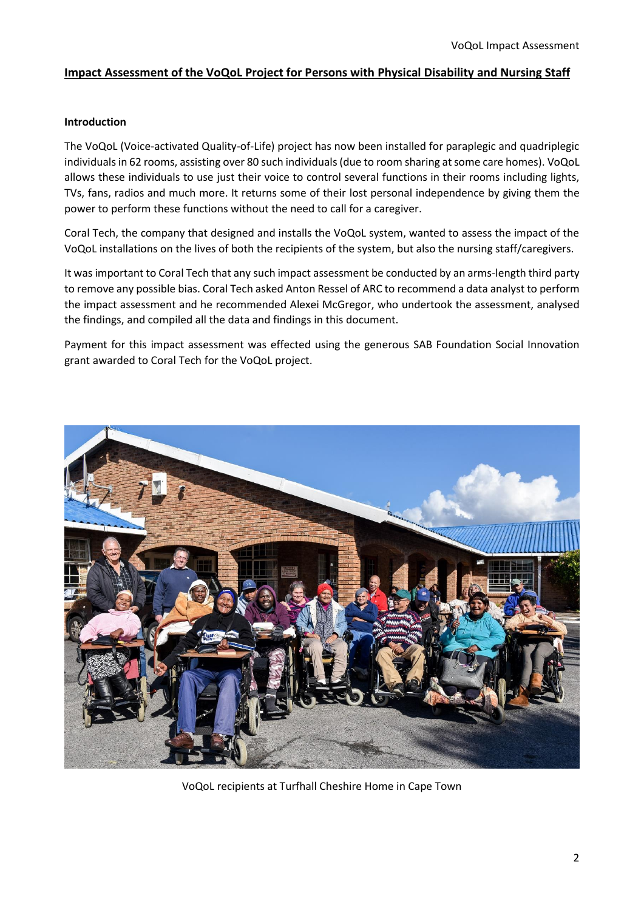## **Impact Assessment of the VoQoL Project for Persons with Physical Disability and Nursing Staff**

#### **Introduction**

The VoQoL (Voice-activated Quality-of-Life) project has now been installed for paraplegic and quadriplegic individuals in 62 rooms, assisting over 80 such individuals (due to room sharing at some care homes). VoQoL allows these individuals to use just their voice to control several functions in their rooms including lights, TVs, fans, radios and much more. It returns some of their lost personal independence by giving them the power to perform these functions without the need to call for a caregiver.

Coral Tech, the company that designed and installs the VoQoL system, wanted to assess the impact of the VoQoL installations on the lives of both the recipients of the system, but also the nursing staff/caregivers.

It was important to Coral Tech that any such impact assessment be conducted by an arms-length third party to remove any possible bias. Coral Tech asked Anton Ressel of ARC to recommend a data analyst to perform the impact assessment and he recommended Alexei McGregor, who undertook the assessment, analysed the findings, and compiled all the data and findings in this document.

Payment for this impact assessment was effected using the generous SAB Foundation Social Innovation grant awarded to Coral Tech for the VoQoL project.



VoQoL recipients at Turfhall Cheshire Home in Cape Town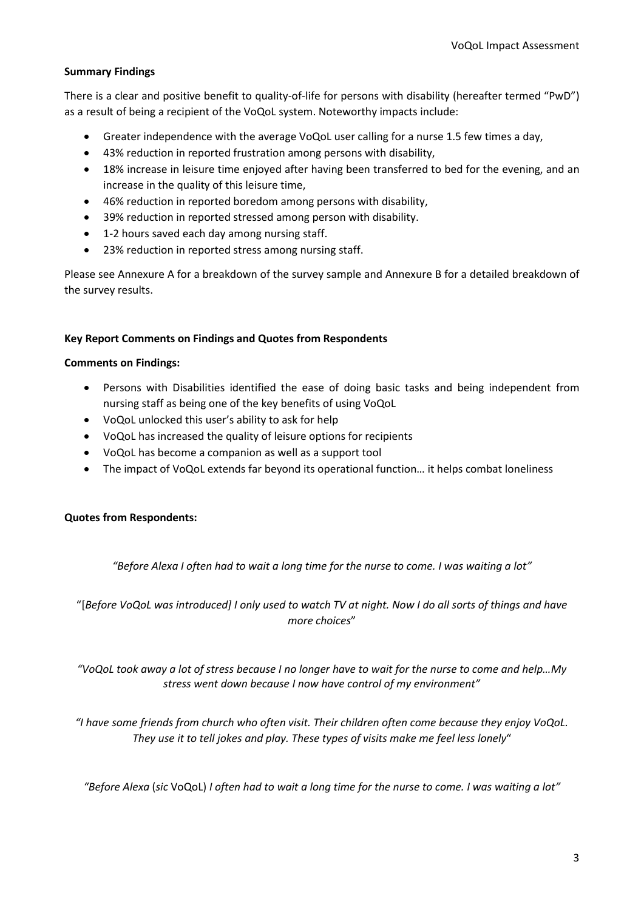## **Summary Findings**

There is a clear and positive benefit to quality-of-life for persons with disability (hereafter termed "PwD") as a result of being a recipient of the VoQoL system. Noteworthy impacts include:

- Greater independence with the average VoQoL user calling for a nurse 1.5 few times a day,
- 43% reduction in reported frustration among persons with disability,
- 18% increase in leisure time enjoyed after having been transferred to bed for the evening, and an increase in the quality of this leisure time,
- 46% reduction in reported boredom among persons with disability,
- 39% reduction in reported stressed among person with disability.
- 1-2 hours saved each day among nursing staff.
- 23% reduction in reported stress among nursing staff.

Please see Annexure A for a breakdown of the survey sample and Annexure B for a detailed breakdown of the survey results.

#### **Key Report Comments on Findings and Quotes from Respondents**

#### **Comments on Findings:**

- Persons with Disabilities identified the ease of doing basic tasks and being independent from nursing staff as being one of the key benefits of using VoQoL
- VoQoL unlocked this user's ability to ask for help
- VoQoL has increased the quality of leisure options for recipients
- VoQoL has become a companion as well as a support tool
- The impact of VoQoL extends far beyond its operational function… it helps combat loneliness

#### **Quotes from Respondents:**

*"Before Alexa I often had to wait a long time for the nurse to come. I was waiting a lot"*

"[*Before VoQoL was introduced] I only used to watch TV at night. Now I do all sorts of things and have more choices*"

*"VoQoL took away a lot of stress because I no longer have to wait for the nurse to come and help…My stress went down because I now have control of my environment"*

*"I have some friends from church who often visit. Their children often come because they enjoy VoQoL. They use it to tell jokes and play. These types of visits make me feel less lonely*"

*"Before Alexa* (*sic* VoQoL) *I often had to wait a long time for the nurse to come. I was waiting a lot"*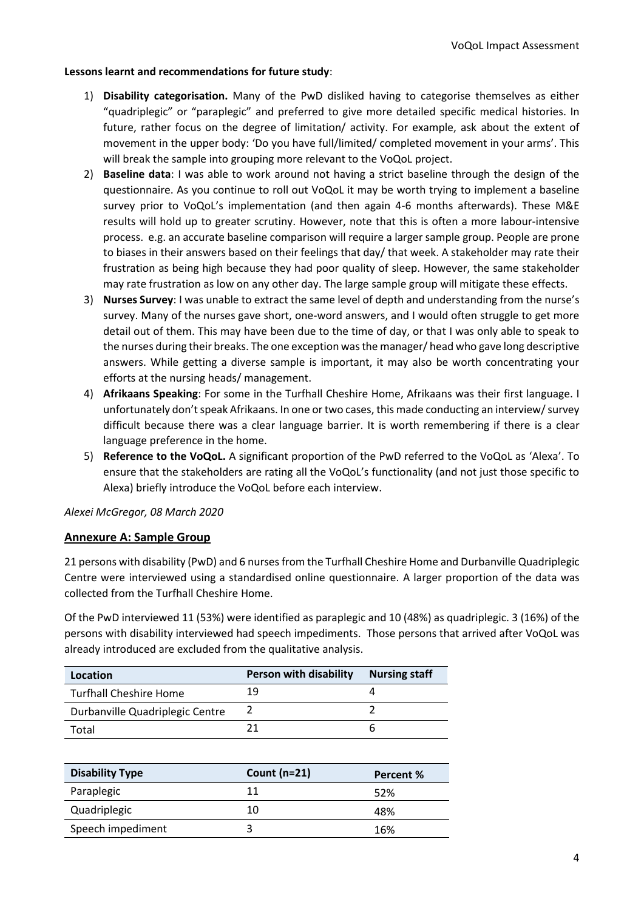#### **Lessons learnt and recommendations for future study**:

- 1) **Disability categorisation.** Many of the PwD disliked having to categorise themselves as either "quadriplegic" or "paraplegic" and preferred to give more detailed specific medical histories. In future, rather focus on the degree of limitation/ activity. For example, ask about the extent of movement in the upper body: 'Do you have full/limited/ completed movement in your arms'. This will break the sample into grouping more relevant to the VoQoL project.
- 2) **Baseline data**: I was able to work around not having a strict baseline through the design of the questionnaire. As you continue to roll out VoQoL it may be worth trying to implement a baseline survey prior to VoQoL's implementation (and then again 4-6 months afterwards). These M&E results will hold up to greater scrutiny. However, note that this is often a more labour-intensive process. e.g. an accurate baseline comparison will require a larger sample group. People are prone to biases in their answers based on their feelings that day/ that week. A stakeholder may rate their frustration as being high because they had poor quality of sleep. However, the same stakeholder may rate frustration as low on any other day. The large sample group will mitigate these effects.
- 3) **Nurses Survey**: I was unable to extract the same level of depth and understanding from the nurse's survey. Many of the nurses gave short, one-word answers, and I would often struggle to get more detail out of them. This may have been due to the time of day, or that I was only able to speak to the nurses during their breaks. The one exception was the manager/ head who gave long descriptive answers. While getting a diverse sample is important, it may also be worth concentrating your efforts at the nursing heads/ management.
- 4) **Afrikaans Speaking**: For some in the Turfhall Cheshire Home, Afrikaans was their first language. I unfortunately don't speak Afrikaans. In one or two cases, this made conducting an interview/ survey difficult because there was a clear language barrier. It is worth remembering if there is a clear language preference in the home.
- 5) **Reference to the VoQoL.** A significant proportion of the PwD referred to the VoQoL as 'Alexa'. To ensure that the stakeholders are rating all the VoQoL's functionality (and not just those specific to Alexa) briefly introduce the VoQoL before each interview.

*Alexei McGregor, 08 March 2020*

## **Annexure A: Sample Group**

21 persons with disability (PwD) and 6 nurses from the Turfhall Cheshire Home and Durbanville Quadriplegic Centre were interviewed using a standardised online questionnaire. A larger proportion of the data was collected from the Turfhall Cheshire Home.

Of the PwD interviewed 11 (53%) were identified as paraplegic and 10 (48%) as quadriplegic. 3 (16%) of the persons with disability interviewed had speech impediments. Those persons that arrived after VoQoL was already introduced are excluded from the qualitative analysis.

| Location                        | <b>Person with disability</b> | <b>Nursing staff</b> |
|---------------------------------|-------------------------------|----------------------|
| <b>Turfhall Cheshire Home</b>   | 19                            |                      |
| Durbanville Quadriplegic Centre |                               |                      |
| Total                           |                               |                      |

| <b>Disability Type</b> | Count $(n=21)$ | Percent % |
|------------------------|----------------|-----------|
| Paraplegic             | 11             | 52%       |
| Quadriplegic           | 10             | 48%       |
| Speech impediment      |                | 16%       |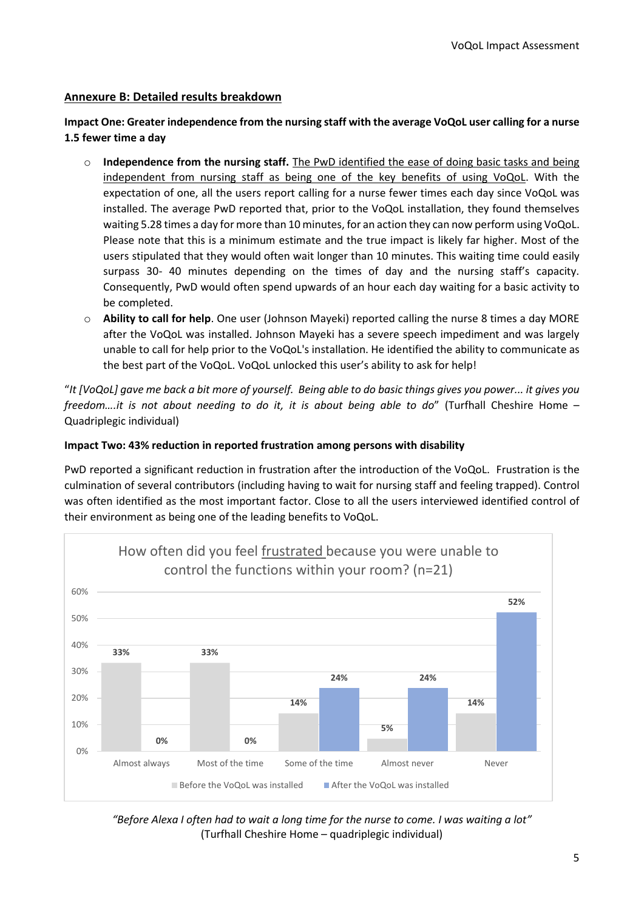## **Annexure B: Detailed results breakdown**

## **Impact One: Greater independence from the nursing staff with the average VoQoL user calling for a nurse 1.5 fewer time a day**

- o **Independence from the nursing staff.** The PwD identified the ease of doing basic tasks and being independent from nursing staff as being one of the key benefits of using VoQoL. With the expectation of one, all the users report calling for a nurse fewer times each day since VoQoL was installed. The average PwD reported that, prior to the VoQoL installation, they found themselves waiting 5.28 times a day for more than 10 minutes, for an action they can now perform using VoQoL. Please note that this is a minimum estimate and the true impact is likely far higher. Most of the users stipulated that they would often wait longer than 10 minutes. This waiting time could easily surpass 30- 40 minutes depending on the times of day and the nursing staff's capacity. Consequently, PwD would often spend upwards of an hour each day waiting for a basic activity to be completed.
- o **Ability to call for help**. One user (Johnson Mayeki) reported calling the nurse 8 times a day MORE after the VoQoL was installed. Johnson Mayeki has a severe speech impediment and was largely unable to call for help prior to the VoQoL's installation. He identified the ability to communicate as the best part of the VoQoL. VoQoL unlocked this user's ability to ask for help!

"*It [VoQoL] gave me back a bit more of yourself. Being able to do basic things gives you power... it gives you freedom….it is not about needing to do it, it is about being able to do*" (Turfhall Cheshire Home – Quadriplegic individual)

## **Impact Two: 43% reduction in reported frustration among persons with disability**

PwD reported a significant reduction in frustration after the introduction of the VoQoL. Frustration is the culmination of several contributors (including having to wait for nursing staff and feeling trapped). Control was often identified as the most important factor. Close to all the users interviewed identified control of their environment as being one of the leading benefits to VoQoL.



*"Before Alexa I often had to wait a long time for the nurse to come. I was waiting a lot"* (Turfhall Cheshire Home – quadriplegic individual)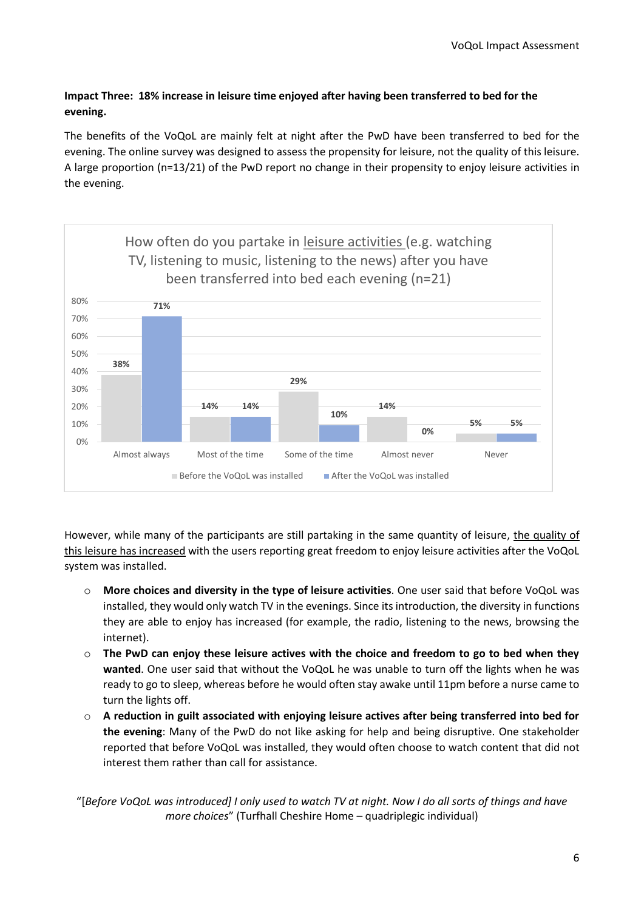# **Impact Three: 18% increase in leisure time enjoyed after having been transferred to bed for the evening.**

The benefits of the VoQoL are mainly felt at night after the PwD have been transferred to bed for the evening. The online survey was designed to assess the propensity for leisure, not the quality of this leisure. A large proportion (n=13/21) of the PwD report no change in their propensity to enjoy leisure activities in the evening.



However, while many of the participants are still partaking in the same quantity of leisure, the quality of this leisure has increased with the users reporting great freedom to enjoy leisure activities after the VoQoL system was installed.

- o **More choices and diversity in the type of leisure activities**. One user said that before VoQoL was installed, they would only watch TV in the evenings. Since its introduction, the diversity in functions they are able to enjoy has increased (for example, the radio, listening to the news, browsing the internet).
- o **The PwD can enjoy these leisure actives with the choice and freedom to go to bed when they wanted**. One user said that without the VoQoL he was unable to turn off the lights when he was ready to go to sleep, whereas before he would often stay awake until 11pm before a nurse came to turn the lights off.
- o **A reduction in guilt associated with enjoying leisure actives after being transferred into bed for the evening**: Many of the PwD do not like asking for help and being disruptive. One stakeholder reported that before VoQoL was installed, they would often choose to watch content that did not interest them rather than call for assistance.

"[*Before VoQoL was introduced] I only used to watch TV at night. Now I do all sorts of things and have more choices*" (Turfhall Cheshire Home – quadriplegic individual)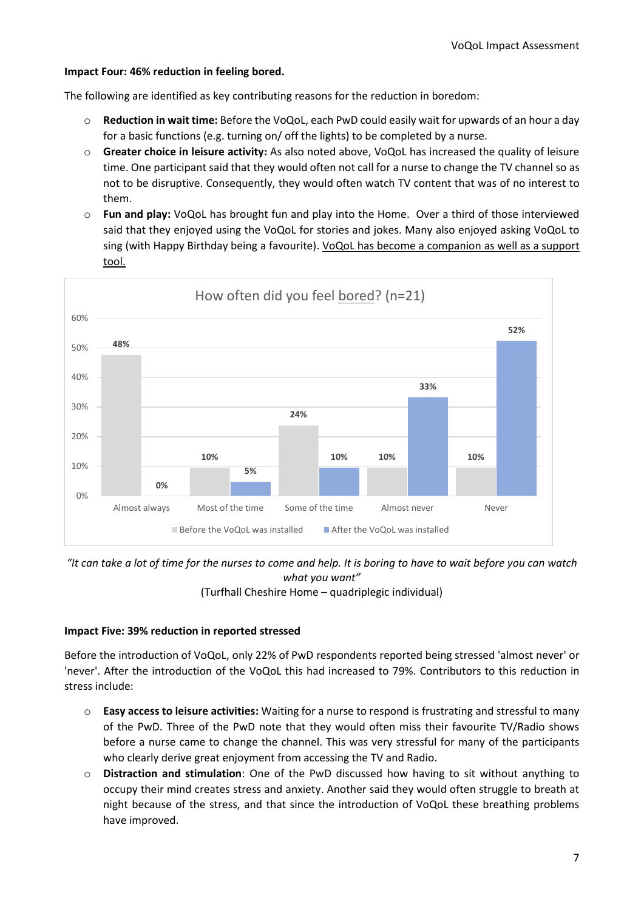#### **Impact Four: 46% reduction in feeling bored.**

The following are identified as key contributing reasons for the reduction in boredom:

- o **Reduction in wait time:** Before the VoQoL, each PwD could easily wait for upwards of an hour a day for a basic functions (e.g. turning on/ off the lights) to be completed by a nurse.
- o **Greater choice in leisure activity:** As also noted above, VoQoL has increased the quality of leisure time. One participant said that they would often not call for a nurse to change the TV channel so as not to be disruptive. Consequently, they would often watch TV content that was of no interest to them.
- o **Fun and play:** VoQoL has brought fun and play into the Home. Over a third of those interviewed said that they enjoyed using the VoQoL for stories and jokes. Many also enjoyed asking VoQoL to sing (with Happy Birthday being a favourite). VoQoL has become a companion as well as a support tool.



## *"It can take a lot of time for the nurses to come and help. It is boring to have to wait before you can watch what you want"*

(Turfhall Cheshire Home – quadriplegic individual)

#### **Impact Five: 39% reduction in reported stressed**

Before the introduction of VoQoL, only 22% of PwD respondents reported being stressed 'almost never' or 'never'. After the introduction of the VoQoL this had increased to 79%. Contributors to this reduction in stress include:

- o **Easy access to leisure activities:** Waiting for a nurse to respond is frustrating and stressful to many of the PwD. Three of the PwD note that they would often miss their favourite TV/Radio shows before a nurse came to change the channel. This was very stressful for many of the participants who clearly derive great enjoyment from accessing the TV and Radio.
- o **Distraction and stimulation**: One of the PwD discussed how having to sit without anything to occupy their mind creates stress and anxiety. Another said they would often struggle to breath at night because of the stress, and that since the introduction of VoQoL these breathing problems have improved.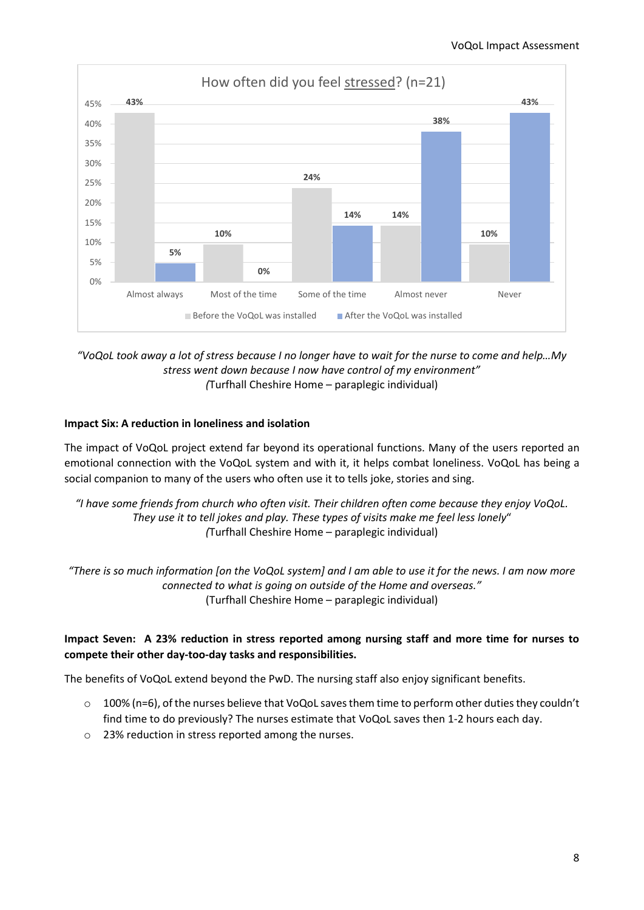

## *"VoQoL took away a lot of stress because I no longer have to wait for the nurse to come and help…My stress went down because I now have control of my environment" (*Turfhall Cheshire Home – paraplegic individual)

## **Impact Six: A reduction in loneliness and isolation**

The impact of VoQoL project extend far beyond its operational functions. Many of the users reported an emotional connection with the VoQoL system and with it, it helps combat loneliness. VoQoL has being a social companion to many of the users who often use it to tells joke, stories and sing.

*"I have some friends from church who often visit. Their children often come because they enjoy VoQoL. They use it to tell jokes and play. These types of visits make me feel less lonely*" *(*Turfhall Cheshire Home – paraplegic individual)

*"There is so much information [on the VoQoL system] and I am able to use it for the news. I am now more connected to what is going on outside of the Home and overseas."* (Turfhall Cheshire Home – paraplegic individual)

## **Impact Seven: A 23% reduction in stress reported among nursing staff and more time for nurses to compete their other day-too-day tasks and responsibilities.**

The benefits of VoQoL extend beyond the PwD. The nursing staff also enjoy significant benefits.

- o 100% (n=6), of the nurses believe that VoQoL saves them time to perform other duties they couldn't find time to do previously? The nurses estimate that VoQoL saves then 1-2 hours each day.
- o 23% reduction in stress reported among the nurses.